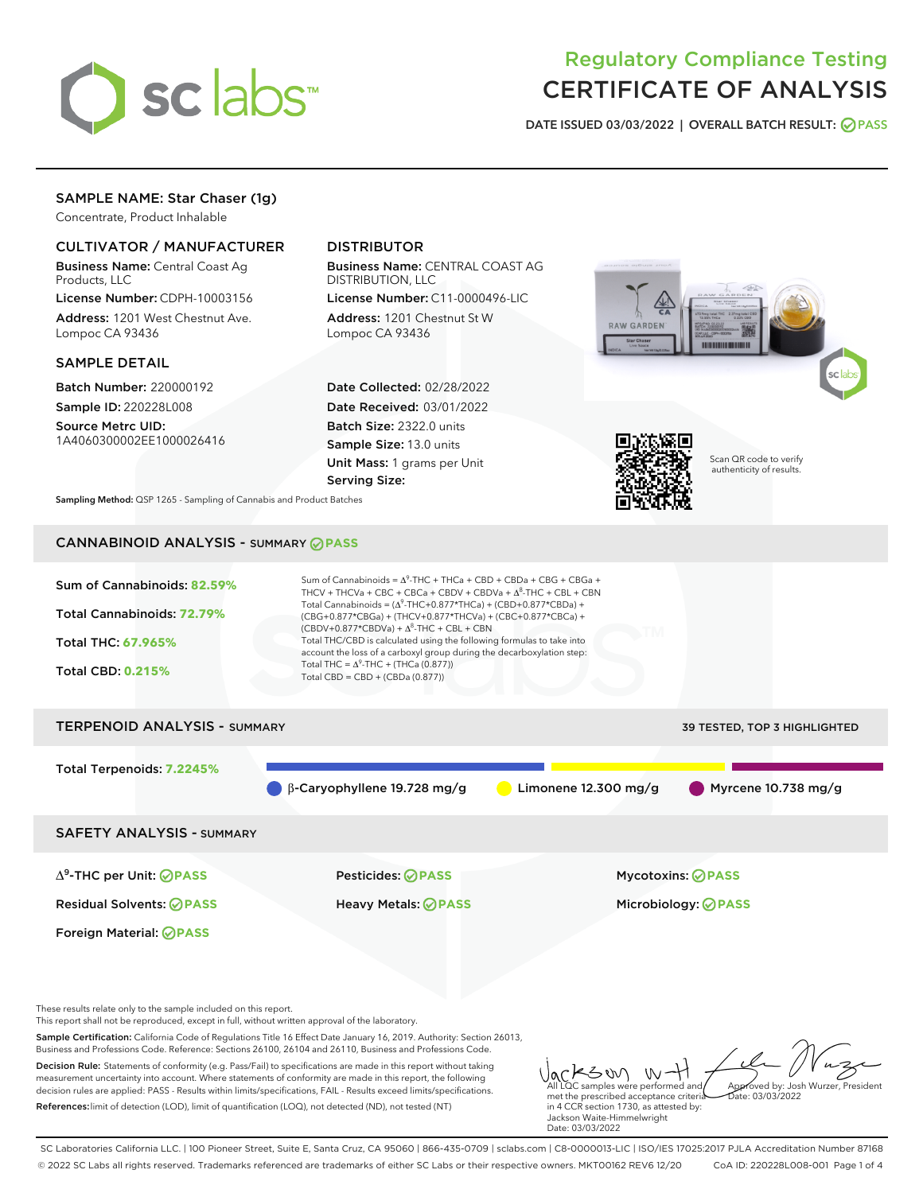

# Regulatory Compliance Testing CERTIFICATE OF ANALYSIS

DATE ISSUED 03/03/2022 | OVERALL BATCH RESULT: @ PASS

## SAMPLE NAME: Star Chaser (1g)

Concentrate, Product Inhalable

## CULTIVATOR / MANUFACTURER

Business Name: Central Coast Ag Products, LLC

License Number: CDPH-10003156 Address: 1201 West Chestnut Ave. Lompoc CA 93436

#### SAMPLE DETAIL

Batch Number: 220000192 Sample ID: 220228L008

Source Metrc UID: 1A4060300002EE1000026416

## DISTRIBUTOR

Business Name: CENTRAL COAST AG DISTRIBUTION, LLC

License Number: C11-0000496-LIC Address: 1201 Chestnut St W Lompoc CA 93436

Date Collected: 02/28/2022 Date Received: 03/01/2022 Batch Size: 2322.0 units Sample Size: 13.0 units Unit Mass: 1 grams per Unit Serving Size:





Scan QR code to verify authenticity of results.

Sampling Method: QSP 1265 - Sampling of Cannabis and Product Batches

## CANNABINOID ANALYSIS - SUMMARY **PASS**



These results relate only to the sample included on this report.

This report shall not be reproduced, except in full, without written approval of the laboratory.

Sample Certification: California Code of Regulations Title 16 Effect Date January 16, 2019. Authority: Section 26013, Business and Professions Code. Reference: Sections 26100, 26104 and 26110, Business and Professions Code.

Decision Rule: Statements of conformity (e.g. Pass/Fail) to specifications are made in this report without taking measurement uncertainty into account. Where statements of conformity are made in this report, the following decision rules are applied: PASS - Results within limits/specifications, FAIL - Results exceed limits/specifications. References:limit of detection (LOD), limit of quantification (LOQ), not detected (ND), not tested (NT)

KSW - W All LQC samples were performed and Approved by: Josh Wurzer, President met the prescribed acceptance criteria  $hat: 03/03/2022$ in 4 CCR section 1730, as attested by: Jackson Waite-Himmelwright

SC Laboratories California LLC. | 100 Pioneer Street, Suite E, Santa Cruz, CA 95060 | 866-435-0709 | sclabs.com | C8-0000013-LIC | ISO/IES 17025:2017 PJLA Accreditation Number 87168 © 2022 SC Labs all rights reserved. Trademarks referenced are trademarks of either SC Labs or their respective owners. MKT00162 REV6 12/20 CoA ID: 220228L008-001 Page 1 of 4

Date: 03/03/2022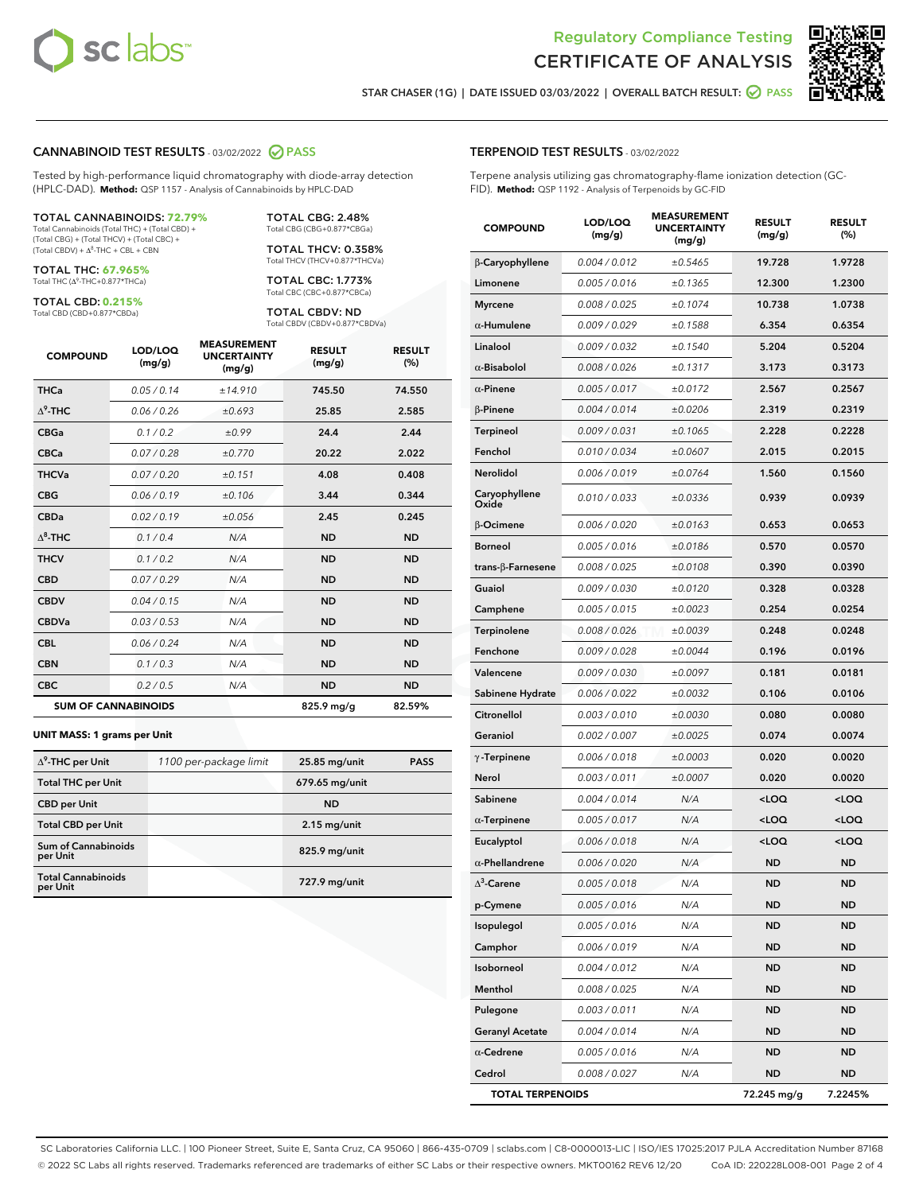



STAR CHASER (1G) | DATE ISSUED 03/03/2022 | OVERALL BATCH RESULT:  $\bigcirc$  PASS

#### CANNABINOID TEST RESULTS - 03/02/2022 2 PASS

Tested by high-performance liquid chromatography with diode-array detection (HPLC-DAD). **Method:** QSP 1157 - Analysis of Cannabinoids by HPLC-DAD

#### TOTAL CANNABINOIDS: **72.79%**

Total Cannabinoids (Total THC) + (Total CBD) + (Total CBG) + (Total THCV) + (Total CBC) +  $(Total CBDV) +  $\Delta^8$ -THC + CBL + CBN$ 

TOTAL THC: **67.965%** Total THC (Δ<sup>9</sup>-THC+0.877\*THCa)

TOTAL CBD: **0.215%**

Total CBD (CBD+0.877\*CBDa)

TOTAL CBG: 2.48% Total CBG (CBG+0.877\*CBGa)

TOTAL THCV: 0.358% Total THCV (THCV+0.877\*THCVa)

TOTAL CBC: 1.773% Total CBC (CBC+0.877\*CBCa)

TOTAL CBDV: ND Total CBDV (CBDV+0.877\*CBDVa)

| <b>COMPOUND</b>  | LOD/LOQ<br>(mg/g)          | <b>MEASUREMENT</b><br><b>UNCERTAINTY</b><br>(mg/g) | <b>RESULT</b><br>(mg/g) | <b>RESULT</b><br>(%) |
|------------------|----------------------------|----------------------------------------------------|-------------------------|----------------------|
| <b>THCa</b>      | 0.05/0.14                  | ±14.910                                            | 745.50                  | 74.550               |
| $\Lambda^9$ -THC | 0.06 / 0.26                | ±0.693                                             | 25.85                   | 2.585                |
| <b>CBGa</b>      | 0.1/0.2                    | ±0.99                                              | 24.4                    | 2.44                 |
| <b>CBCa</b>      | 0.07/0.28                  | ±0.770                                             | 20.22                   | 2.022                |
| <b>THCVa</b>     | 0.07/0.20                  | ±0.151                                             | 4.08                    | 0.408                |
| <b>CBG</b>       | 0.06/0.19                  | ±0.106                                             | 3.44                    | 0.344                |
| <b>CBDa</b>      | 0.02/0.19                  | ±0.056                                             | 2.45                    | 0.245                |
| $\Lambda^8$ -THC | 0.1/0.4                    | N/A                                                | <b>ND</b>               | <b>ND</b>            |
| <b>THCV</b>      | 0.1/0.2                    | N/A                                                | <b>ND</b>               | <b>ND</b>            |
| <b>CBD</b>       | 0.07/0.29                  | N/A                                                | <b>ND</b>               | <b>ND</b>            |
| <b>CBDV</b>      | 0.04 / 0.15                | N/A                                                | <b>ND</b>               | <b>ND</b>            |
| <b>CBDVa</b>     | 0.03 / 0.53                | N/A                                                | <b>ND</b>               | <b>ND</b>            |
| <b>CBL</b>       | 0.06 / 0.24                | N/A                                                | <b>ND</b>               | <b>ND</b>            |
| <b>CBN</b>       | 0.1/0.3                    | N/A                                                | <b>ND</b>               | <b>ND</b>            |
| <b>CBC</b>       | 0.2 / 0.5                  | N/A                                                | <b>ND</b>               | <b>ND</b>            |
|                  | <b>SUM OF CANNABINOIDS</b> |                                                    | 825.9 mg/g              | 82.59%               |

#### **UNIT MASS: 1 grams per Unit**

| $\Delta^9$ -THC per Unit              | 1100 per-package limit | 25.85 mg/unit  | <b>PASS</b> |
|---------------------------------------|------------------------|----------------|-------------|
| <b>Total THC per Unit</b>             |                        | 679.65 mg/unit |             |
| <b>CBD</b> per Unit                   |                        | <b>ND</b>      |             |
| <b>Total CBD per Unit</b>             |                        | $2.15$ mg/unit |             |
| Sum of Cannabinoids<br>per Unit       |                        | 825.9 mg/unit  |             |
| <b>Total Cannabinoids</b><br>per Unit |                        | 727.9 mg/unit  |             |

#### TERPENOID TEST RESULTS - 03/02/2022

Terpene analysis utilizing gas chromatography-flame ionization detection (GC-FID). **Method:** QSP 1192 - Analysis of Terpenoids by GC-FID

| <b>COMPOUND</b>         | LOD/LOQ<br>(mg/g) | <b>MEASUREMENT</b><br><b>UNCERTAINTY</b><br>(mg/g) | <b>RESULT</b><br>(mg/g)                         | <b>RESULT</b><br>$(\%)$ |
|-------------------------|-------------------|----------------------------------------------------|-------------------------------------------------|-------------------------|
| β-Caryophyllene         | 0.004 / 0.012     | ±0.5465                                            | 19.728                                          | 1.9728                  |
| Limonene                | 0.005 / 0.016     | ±0.1365                                            | 12.300                                          | 1.2300                  |
| <b>Myrcene</b>          | 0.008 / 0.025     | ±0.1074                                            | 10.738                                          | 1.0738                  |
| $\alpha$ -Humulene      | 0.009 / 0.029     | ±0.1588                                            | 6.354                                           | 0.6354                  |
| Linalool                | 0.009 / 0.032     | ±0.1540                                            | 5.204                                           | 0.5204                  |
| $\alpha$ -Bisabolol     | 0.008 / 0.026     | ±0.1317                                            | 3.173                                           | 0.3173                  |
| $\alpha$ -Pinene        | 0.005 / 0.017     | ±0.0172                                            | 2.567                                           | 0.2567                  |
| $\beta$ -Pinene         | 0.004 / 0.014     | ±0.0206                                            | 2.319                                           | 0.2319                  |
| Terpineol               | 0.009 / 0.031     | ±0.1065                                            | 2.228                                           | 0.2228                  |
| Fenchol                 | 0.010 / 0.034     | ±0.0607                                            | 2.015                                           | 0.2015                  |
| <b>Nerolidol</b>        | 0.006 / 0.019     | ±0.0764                                            | 1.560                                           | 0.1560                  |
| Caryophyllene<br>Oxide  | 0.010 / 0.033     | ±0.0336                                            | 0.939                                           | 0.0939                  |
| <b>B-Ocimene</b>        | 0.006 / 0.020     | ±0.0163                                            | 0.653                                           | 0.0653                  |
| <b>Borneol</b>          | 0.005 / 0.016     | ±0.0186                                            | 0.570                                           | 0.0570                  |
| trans-ß-Farnesene       | 0.008 / 0.025     | ±0.0108                                            | 0.390                                           | 0.0390                  |
| Guaiol                  | 0.009/0.030       | ±0.0120                                            | 0.328                                           | 0.0328                  |
| Camphene                | 0.005 / 0.015     | ±0.0023                                            | 0.254                                           | 0.0254                  |
| Terpinolene             | 0.008 / 0.026     | ±0.0039                                            | 0.248                                           | 0.0248                  |
| Fenchone                | 0.009 / 0.028     | ±0.0044                                            | 0.196                                           | 0.0196                  |
| Valencene               | 0.009 / 0.030     | ±0.0097                                            | 0.181                                           | 0.0181                  |
| Sabinene Hydrate        | 0.006 / 0.022     | ±0.0032                                            | 0.106                                           | 0.0106                  |
| Citronellol             | 0.003 / 0.010     | ±0.0030                                            | 0.080                                           | 0.0080                  |
| Geraniol                | 0.002 / 0.007     | ±0.0025                                            | 0.074                                           | 0.0074                  |
| $\gamma$ -Terpinene     | 0.006 / 0.018     | ±0.0003                                            | 0.020                                           | 0.0020                  |
| Nerol                   | 0.003 / 0.011     | ±0.0007                                            | 0.020                                           | 0.0020                  |
| Sabinene                | 0.004 / 0.014     | N/A                                                | <loq< th=""><th><loq< th=""></loq<></th></loq<> | <loq< th=""></loq<>     |
| $\alpha$ -Terpinene     | 0.005 / 0.017     | N/A                                                | <loq< th=""><th><loq< th=""></loq<></th></loq<> | <loq< th=""></loq<>     |
| Eucalyptol              | 0.006 / 0.018     | N/A                                                | <loq< th=""><th><loq< th=""></loq<></th></loq<> | <loq< th=""></loq<>     |
| $\alpha$ -Phellandrene  | 0.006 / 0.020     | N/A                                                | <b>ND</b>                                       | <b>ND</b>               |
| $\Delta^3$ -Carene      | 0.005 / 0.018     | N/A                                                | <b>ND</b>                                       | ND                      |
| p-Cymene                | 0.005 / 0.016     | N/A                                                | ND                                              | ND                      |
| Isopulegol              | 0.005 / 0.016     | N/A                                                | ND                                              | ND                      |
| Camphor                 | 0.006 / 0.019     | N/A                                                | <b>ND</b>                                       | ND                      |
| Isoborneol              | 0.004 / 0.012     | N/A                                                | ND                                              | ND                      |
| Menthol                 | 0.008 / 0.025     | N/A                                                | ND                                              | ND                      |
| Pulegone                | 0.003 / 0.011     | N/A                                                | <b>ND</b>                                       | ND                      |
| <b>Geranyl Acetate</b>  | 0.004 / 0.014     | N/A                                                | ND                                              | ND                      |
| $\alpha$ -Cedrene       | 0.005 / 0.016     | N/A                                                | ND                                              | ND                      |
| Cedrol                  | 0.008 / 0.027     | N/A                                                | <b>ND</b>                                       | ND                      |
| <b>TOTAL TERPENOIDS</b> |                   |                                                    | 72.245 mg/g                                     | 7.2245%                 |

SC Laboratories California LLC. | 100 Pioneer Street, Suite E, Santa Cruz, CA 95060 | 866-435-0709 | sclabs.com | C8-0000013-LIC | ISO/IES 17025:2017 PJLA Accreditation Number 87168 © 2022 SC Labs all rights reserved. Trademarks referenced are trademarks of either SC Labs or their respective owners. MKT00162 REV6 12/20 CoA ID: 220228L008-001 Page 2 of 4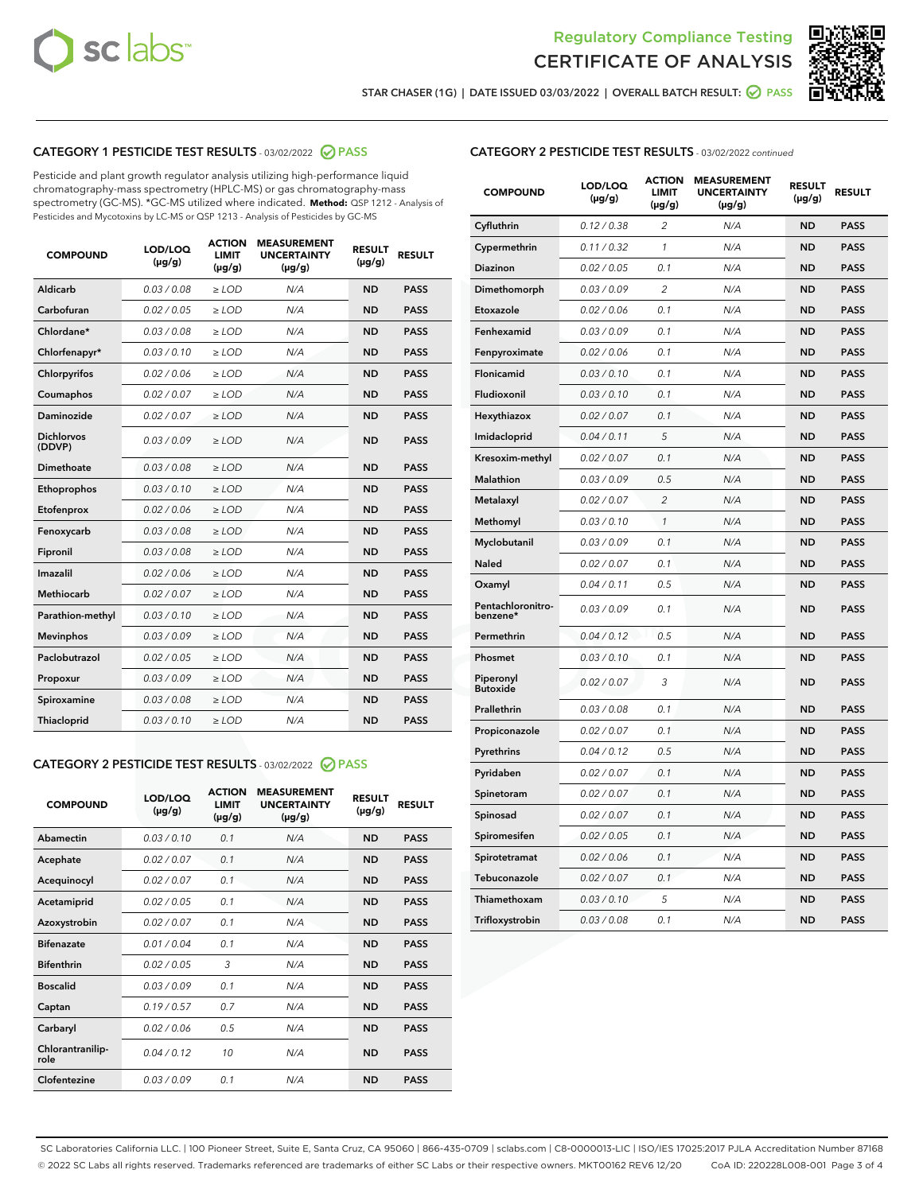



STAR CHASER (1G) | DATE ISSUED 03/03/2022 | OVERALL BATCH RESULT: 0 PASS

## CATEGORY 1 PESTICIDE TEST RESULTS - 03/02/2022 2 PASS

Pesticide and plant growth regulator analysis utilizing high-performance liquid chromatography-mass spectrometry (HPLC-MS) or gas chromatography-mass spectrometry (GC-MS). \*GC-MS utilized where indicated. **Method:** QSP 1212 - Analysis of Pesticides and Mycotoxins by LC-MS or QSP 1213 - Analysis of Pesticides by GC-MS

| <b>COMPOUND</b>             | LOD/LOQ<br>$(\mu g/g)$ | <b>ACTION</b><br>LIMIT<br>$(\mu g/g)$ | <b>MEASUREMENT</b><br><b>UNCERTAINTY</b><br>$(\mu g/g)$ | <b>RESULT</b><br>$(\mu g/g)$ | <b>RESULT</b> |
|-----------------------------|------------------------|---------------------------------------|---------------------------------------------------------|------------------------------|---------------|
| Aldicarb                    | 0.03 / 0.08            | $\ge$ LOD                             | N/A                                                     | <b>ND</b>                    | <b>PASS</b>   |
| Carbofuran                  | 0.02 / 0.05            | $\ge$ LOD                             | N/A                                                     | <b>ND</b>                    | <b>PASS</b>   |
| Chlordane*                  | 0.03 / 0.08            | $\ge$ LOD                             | N/A                                                     | <b>ND</b>                    | <b>PASS</b>   |
| Chlorfenapyr*               | 0.03/0.10              | $\ge$ LOD                             | N/A                                                     | <b>ND</b>                    | <b>PASS</b>   |
| Chlorpyrifos                | 0.02/0.06              | $>$ LOD                               | N/A                                                     | <b>ND</b>                    | <b>PASS</b>   |
| Coumaphos                   | 0.02 / 0.07            | $\ge$ LOD                             | N/A                                                     | <b>ND</b>                    | <b>PASS</b>   |
| Daminozide                  | 0.02 / 0.07            | $\ge$ LOD                             | N/A                                                     | <b>ND</b>                    | <b>PASS</b>   |
| <b>Dichlorvos</b><br>(DDVP) | 0.03/0.09              | $\ge$ LOD                             | N/A                                                     | <b>ND</b>                    | <b>PASS</b>   |
| Dimethoate                  | 0.03/0.08              | $>$ LOD                               | N/A                                                     | <b>ND</b>                    | <b>PASS</b>   |
| Ethoprophos                 | 0.03/0.10              | $\ge$ LOD                             | N/A                                                     | <b>ND</b>                    | <b>PASS</b>   |
| Etofenprox                  | 0.02 / 0.06            | $>$ LOD                               | N/A                                                     | <b>ND</b>                    | <b>PASS</b>   |
| Fenoxycarb                  | 0.03/0.08              | $>$ LOD                               | N/A                                                     | <b>ND</b>                    | <b>PASS</b>   |
| Fipronil                    | 0.03 / 0.08            | $\ge$ LOD                             | N/A                                                     | <b>ND</b>                    | <b>PASS</b>   |
| Imazalil                    | 0.02/0.06              | $>$ LOD                               | N/A                                                     | <b>ND</b>                    | <b>PASS</b>   |
| <b>Methiocarb</b>           | 0.02 / 0.07            | $\ge$ LOD                             | N/A                                                     | <b>ND</b>                    | <b>PASS</b>   |
| Parathion-methyl            | 0.03/0.10              | $\ge$ LOD                             | N/A                                                     | <b>ND</b>                    | <b>PASS</b>   |
| <b>Mevinphos</b>            | 0.03/0.09              | $>$ LOD                               | N/A                                                     | <b>ND</b>                    | <b>PASS</b>   |
| Paclobutrazol               | 0.02 / 0.05            | $\ge$ LOD                             | N/A                                                     | <b>ND</b>                    | <b>PASS</b>   |
| Propoxur                    | 0.03/0.09              | $>$ LOD                               | N/A                                                     | <b>ND</b>                    | <b>PASS</b>   |
| Spiroxamine                 | 0.03 / 0.08            | $\ge$ LOD                             | N/A                                                     | <b>ND</b>                    | <b>PASS</b>   |
| Thiacloprid                 | 0.03/0.10              | $\ge$ LOD                             | N/A                                                     | <b>ND</b>                    | <b>PASS</b>   |
|                             |                        |                                       |                                                         |                              |               |

## CATEGORY 2 PESTICIDE TEST RESULTS - 03/02/2022 2 PASS

| <b>COMPOUND</b>          | LOD/LOO<br>$(\mu g/g)$ | <b>ACTION</b><br><b>LIMIT</b><br>(µg/g) | <b>MEASUREMENT</b><br><b>UNCERTAINTY</b><br>$(\mu g/g)$ | <b>RESULT</b><br>$(\mu g/g)$ | <b>RESULT</b> |  |
|--------------------------|------------------------|-----------------------------------------|---------------------------------------------------------|------------------------------|---------------|--|
| Abamectin                | 0.03/0.10              | 0.1                                     | N/A                                                     | <b>ND</b>                    | <b>PASS</b>   |  |
| Acephate                 | 0.02/0.07              | 0.1                                     | N/A                                                     | <b>ND</b>                    | <b>PASS</b>   |  |
| Acequinocyl              | 0.02/0.07              | 0.1                                     | N/A                                                     | <b>ND</b>                    | <b>PASS</b>   |  |
| Acetamiprid              | 0.02/0.05              | 0.1                                     | N/A                                                     | <b>ND</b>                    | <b>PASS</b>   |  |
| Azoxystrobin             | 0.02/0.07              | 0.1                                     | N/A                                                     | <b>ND</b>                    | <b>PASS</b>   |  |
| <b>Bifenazate</b>        | 0.01/0.04              | 0.1                                     | N/A                                                     | <b>ND</b>                    | <b>PASS</b>   |  |
| <b>Bifenthrin</b>        | 0.02/0.05              | 3                                       | N/A                                                     | <b>ND</b>                    | <b>PASS</b>   |  |
| <b>Boscalid</b>          | 0.03/0.09              | 0.1                                     | N/A                                                     | <b>ND</b>                    | <b>PASS</b>   |  |
| Captan                   | 0.19/0.57              | 0.7                                     | N/A                                                     | <b>ND</b>                    | <b>PASS</b>   |  |
| Carbaryl                 | 0.02/0.06              | 0.5                                     | N/A                                                     | <b>ND</b>                    | <b>PASS</b>   |  |
| Chlorantranilip-<br>role | 0.04/0.12              | 10                                      | N/A                                                     | <b>ND</b>                    | <b>PASS</b>   |  |
| Clofentezine             | 0.03/0.09              | 0.1                                     | N/A                                                     | <b>ND</b>                    | <b>PASS</b>   |  |

## CATEGORY 2 PESTICIDE TEST RESULTS - 03/02/2022 continued

| <b>COMPOUND</b>               | LOD/LOQ<br>(µg/g) | <b>ACTION</b><br><b>LIMIT</b><br>$(\mu g/g)$ | <b>MEASUREMENT</b><br><b>UNCERTAINTY</b><br>$(\mu g/g)$ | <b>RESULT</b><br>(µg/g) | <b>RESULT</b> |
|-------------------------------|-------------------|----------------------------------------------|---------------------------------------------------------|-------------------------|---------------|
| Cyfluthrin                    | 0.12 / 0.38       | $\overline{c}$                               | N/A                                                     | ND                      | <b>PASS</b>   |
| Cypermethrin                  | 0.11 / 0.32       | $\mathcal{I}$                                | N/A                                                     | ND                      | <b>PASS</b>   |
| <b>Diazinon</b>               | 0.02 / 0.05       | 0.1                                          | N/A                                                     | <b>ND</b>               | <b>PASS</b>   |
| Dimethomorph                  | 0.03 / 0.09       | 2                                            | N/A                                                     | ND                      | <b>PASS</b>   |
| Etoxazole                     | 0.02 / 0.06       | 0.1                                          | N/A                                                     | ND                      | <b>PASS</b>   |
| Fenhexamid                    | 0.03 / 0.09       | 0.1                                          | N/A                                                     | ND                      | <b>PASS</b>   |
| Fenpyroximate                 | 0.02 / 0.06       | 0.1                                          | N/A                                                     | <b>ND</b>               | <b>PASS</b>   |
| Flonicamid                    | 0.03 / 0.10       | 0.1                                          | N/A                                                     | ND                      | <b>PASS</b>   |
| Fludioxonil                   | 0.03/0.10         | 0.1                                          | N/A                                                     | ND                      | <b>PASS</b>   |
| Hexythiazox                   | 0.02 / 0.07       | 0.1                                          | N/A                                                     | ND                      | <b>PASS</b>   |
| Imidacloprid                  | 0.04 / 0.11       | 5                                            | N/A                                                     | ND                      | <b>PASS</b>   |
| Kresoxim-methyl               | 0.02 / 0.07       | 0.1                                          | N/A                                                     | ND                      | <b>PASS</b>   |
| Malathion                     | 0.03 / 0.09       | 0.5                                          | N/A                                                     | <b>ND</b>               | <b>PASS</b>   |
| Metalaxyl                     | 0.02 / 0.07       | $\overline{c}$                               | N/A                                                     | ND                      | <b>PASS</b>   |
| Methomyl                      | 0.03 / 0.10       | 1                                            | N/A                                                     | ND                      | <b>PASS</b>   |
| Myclobutanil                  | 0.03 / 0.09       | 0.1                                          | N/A                                                     | <b>ND</b>               | <b>PASS</b>   |
| Naled                         | 0.02 / 0.07       | 0.1                                          | N/A                                                     | ND                      | <b>PASS</b>   |
| Oxamyl                        | 0.04 / 0.11       | 0.5                                          | N/A                                                     | ND                      | <b>PASS</b>   |
| Pentachloronitro-<br>benzene* | 0.03 / 0.09       | 0.1                                          | N/A                                                     | ND                      | <b>PASS</b>   |
| Permethrin                    | 0.04 / 0.12       | 0.5                                          | N/A                                                     | ND                      | <b>PASS</b>   |
| Phosmet                       | 0.03 / 0.10       | 0.1                                          | N/A                                                     | ND                      | <b>PASS</b>   |
| Piperonyl<br>Butoxide         | 0.02 / 0.07       | 3                                            | N/A                                                     | ND                      | <b>PASS</b>   |
| Prallethrin                   | 0.03 / 0.08       | 0.1                                          | N/A                                                     | <b>ND</b>               | <b>PASS</b>   |
| Propiconazole                 | 0.02 / 0.07       | 0.1                                          | N/A                                                     | ND                      | <b>PASS</b>   |
| Pyrethrins                    | 0.04 / 0.12       | 0.5                                          | N/A                                                     | ND                      | <b>PASS</b>   |
| Pyridaben                     | 0.02 / 0.07       | 0.1                                          | N/A                                                     | <b>ND</b>               | <b>PASS</b>   |
| Spinetoram                    | 0.02 / 0.07       | 0.1                                          | N/A                                                     | ND                      | <b>PASS</b>   |
| Spinosad                      | 0.02 / 0.07       | 0.1                                          | N/A                                                     | ND                      | <b>PASS</b>   |
| Spiromesifen                  | 0.02 / 0.05       | 0.1                                          | N/A                                                     | <b>ND</b>               | <b>PASS</b>   |
| Spirotetramat                 | 0.02 / 0.06       | 0.1                                          | N/A                                                     | ND                      | <b>PASS</b>   |
| Tebuconazole                  | 0.02 / 0.07       | 0.1                                          | N/A                                                     | ND                      | <b>PASS</b>   |
| Thiamethoxam                  | 0.03 / 0.10       | 5                                            | N/A                                                     | <b>ND</b>               | <b>PASS</b>   |
| Trifloxystrobin               | 0.03 / 0.08       | 0.1                                          | N/A                                                     | <b>ND</b>               | <b>PASS</b>   |

SC Laboratories California LLC. | 100 Pioneer Street, Suite E, Santa Cruz, CA 95060 | 866-435-0709 | sclabs.com | C8-0000013-LIC | ISO/IES 17025:2017 PJLA Accreditation Number 87168 © 2022 SC Labs all rights reserved. Trademarks referenced are trademarks of either SC Labs or their respective owners. MKT00162 REV6 12/20 CoA ID: 220228L008-001 Page 3 of 4